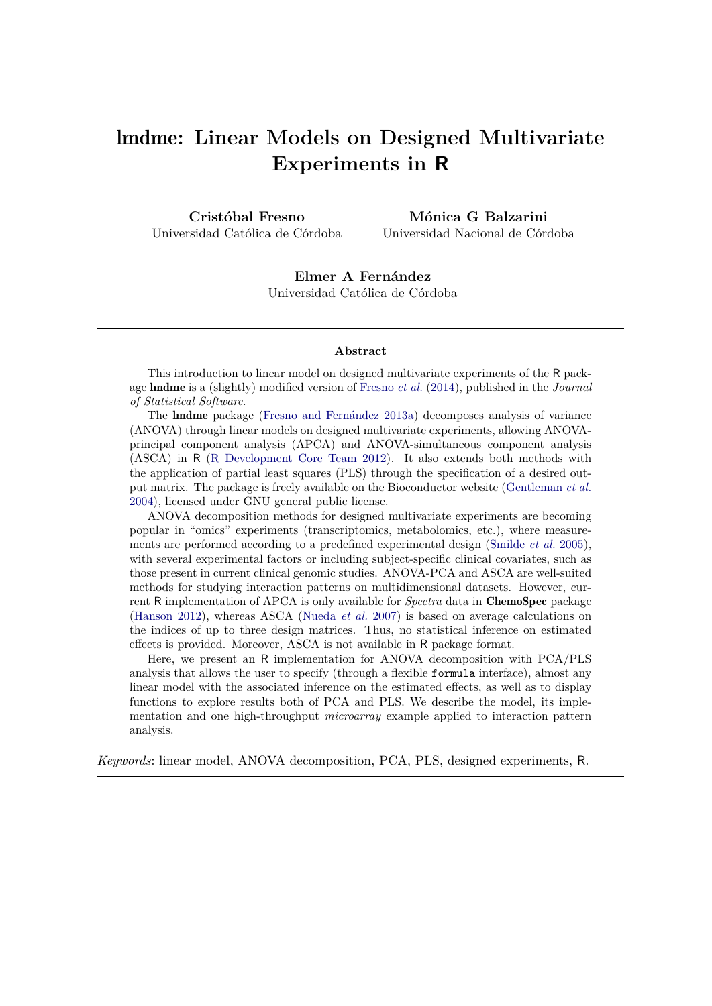# lmdme**: Linear Models on Designed Multivariate Experiments in R**

**Cristóbal Fresno** Universidad Católica de Córdoba

**Mónica G Balzarini** Universidad Nacional de Córdoba

**Elmer A Fernández** Universidad Católica de Córdoba

#### **Abstract**

This introduction to linear model on designed multivariate experiments of the R package lmdme is a (slightly) modified version of [Fresno](#page-10-0) *et al.* [\(2014\)](#page-10-0), published in the *Journal of Statistical Software*.

The lmdme package [\(Fresno and Fernández](#page-10-1) [2013a\)](#page-10-1) decomposes analysis of variance (ANOVA) through linear models on designed multivariate experiments, allowing ANOVAprincipal component analysis (APCA) and ANOVA-simultaneous component analysis (ASCA) in R [\(R Development Core Team](#page-11-0) [2012\)](#page-11-0). It also extends both methods with the application of partial least squares (PLS) through the specification of a desired output matrix. The package is freely available on the Bioconductor website [\(Gentleman](#page-10-2) *et al.* [2004\)](#page-10-2), licensed under GNU general public license.

ANOVA decomposition methods for designed multivariate experiments are becoming popular in "omics" experiments (transcriptomics, metabolomics, etc.), where measurements are performed according to a predefined experimental design [\(Smilde](#page-11-1) *et al.* [2005\)](#page-11-1), with several experimental factors or including subject-specific clinical covariates, such as those present in current clinical genomic studies. ANOVA-PCA and ASCA are well-suited methods for studying interaction patterns on multidimensional datasets. However, current R implementation of APCA is only available for *Spectra* data in ChemoSpec package [\(Hanson](#page-10-3) [2012\)](#page-10-3), whereas ASCA [\(Nueda](#page-11-2) *et al.* [2007\)](#page-11-2) is based on average calculations on the indices of up to three design matrices. Thus, no statistical inference on estimated effects is provided. Moreover, ASCA is not available in R package format.

Here, we present an R implementation for ANOVA decomposition with PCA/PLS analysis that allows the user to specify (through a flexible formula interface), almost any linear model with the associated inference on the estimated effects, as well as to display functions to explore results both of PCA and PLS. We describe the model, its implementation and one high-throughput *microarray* example applied to interaction pattern analysis.

*Keywords*: linear model, ANOVA decomposition, PCA, PLS, designed experiments, R.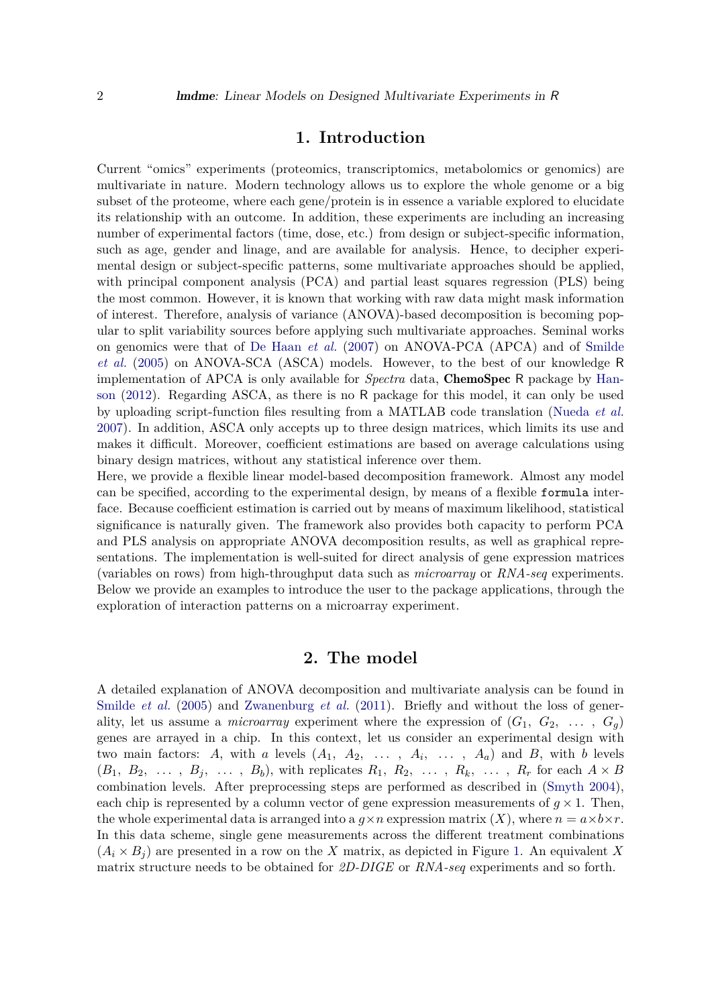### **1. Introduction**

Current "omics" experiments (proteomics, transcriptomics, metabolomics or genomics) are multivariate in nature. Modern technology allows us to explore the whole genome or a big subset of the proteome, where each gene/protein is in essence a variable explored to elucidate its relationship with an outcome. In addition, these experiments are including an increasing number of experimental factors (time, dose, etc.) from design or subject-specific information, such as age, gender and linage, and are available for analysis. Hence, to decipher experimental design or subject-specific patterns, some multivariate approaches should be applied, with principal component analysis (PCA) and partial least squares regression (PLS) being the most common. However, it is known that working with raw data might mask information of interest. Therefore, analysis of variance (ANOVA)-based decomposition is becoming popular to split variability sources before applying such multivariate approaches. Seminal works on genomics were that of [De Haan](#page-10-4) *et al.* [\(2007\)](#page-10-4) on ANOVA-PCA (APCA) and of [Smilde](#page-11-1) *[et al.](#page-11-1)* [\(2005\)](#page-11-1) on ANOVA-SCA (ASCA) models. However, to the best of our knowledge R implementation of APCA is only available for *Spectra* data, ChemoSpec R package by [Han](#page-10-3)[son](#page-10-3) [\(2012\)](#page-10-3). Regarding ASCA, as there is no R package for this model, it can only be used by uploading script-function files resulting from a MATLAB code translation [\(Nueda](#page-11-2) *et al.* [2007\)](#page-11-2). In addition, ASCA only accepts up to three design matrices, which limits its use and makes it difficult. Moreover, coefficient estimations are based on average calculations using binary design matrices, without any statistical inference over them.

Here, we provide a flexible linear model-based decomposition framework. Almost any model can be specified, according to the experimental design, by means of a flexible formula interface. Because coefficient estimation is carried out by means of maximum likelihood, statistical significance is naturally given. The framework also provides both capacity to perform PCA and PLS analysis on appropriate ANOVA decomposition results, as well as graphical representations. The implementation is well-suited for direct analysis of gene expression matrices (variables on rows) from high-throughput data such as *microarray* or *RNA-seq* experiments. Below we provide an examples to introduce the user to the package applications, through the exploration of interaction patterns on a microarray experiment.

## **2. The model**

A detailed explanation of ANOVA decomposition and multivariate analysis can be found in [Smilde](#page-11-1) *et al.* [\(2005\)](#page-11-1) and [Zwanenburg](#page-11-3) *et al.* [\(2011\)](#page-11-3). Briefly and without the loss of generality, let us assume a *microarray* experiment where the expression of  $(G_1, G_2, \ldots, G_q)$ genes are arrayed in a chip. In this context, let us consider an experimental design with two main factors: A, with a levels  $(A_1, A_2, \ldots, A_i, \ldots, A_a)$  and B, with b levels  $(B_1, B_2, \ldots, B_j, \ldots, B_b)$ , with replicates  $R_1, R_2, \ldots, R_k, \ldots, R_r$  for each  $A \times B$ combination levels. After preprocessing steps are performed as described in [\(Smyth](#page-11-4) [2004\)](#page-11-4), each chip is represented by a column vector of gene expression measurements of  $g \times 1$ . Then, the whole experimental data is arranged into a  $q \times n$  expression matrix  $(X)$ , where  $n = a \times b \times r$ . In this data scheme, single gene measurements across the different treatment combinations  $(A_i \times B_j)$  are presented in a row on the *X* matrix, as depicted in Figure [1.](#page-2-0) An equivalent *X* matrix structure needs to be obtained for *2D-DIGE* or *RNA-seq* experiments and so forth.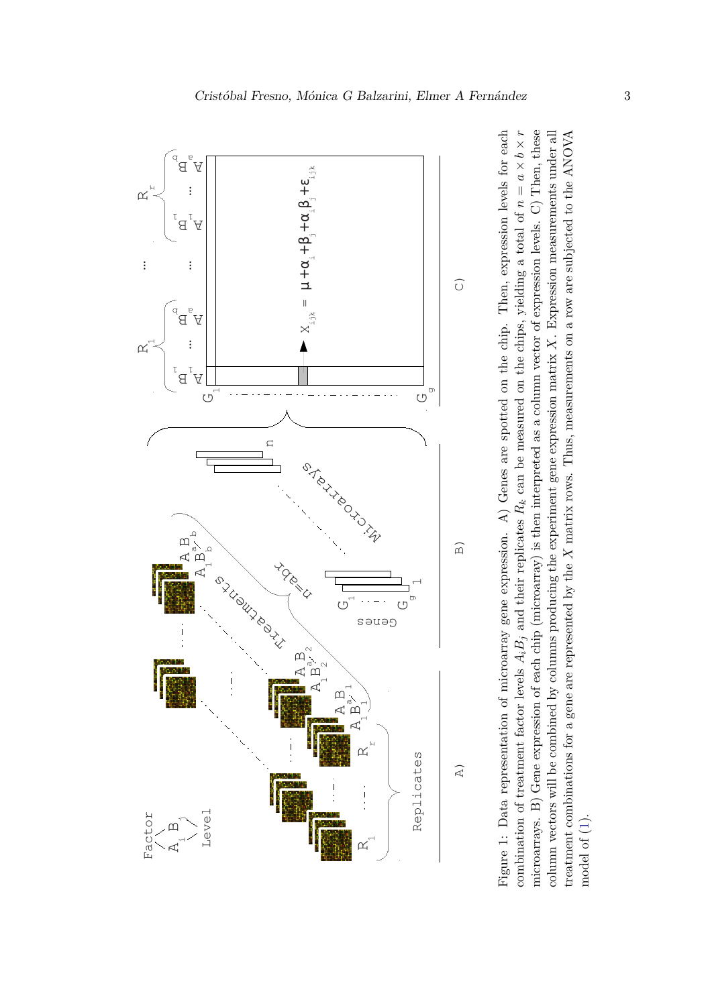<span id="page-2-0"></span>

column vectors will be combined by columns producing the experiment gene expression matrix  $X$ . Expression measurements under all Figure 1: Data representation of microarray gene expression. A) Genes are spotted on the chip. Then, expression levels for each treatment combinations for a gene are represented by the  $X$  matrix rows. Thus, measurements on a row are subjected to the ANOVA Figure 1: Data representation of microarray gene expression. A) Genes are spotted on the chip. Then, expression levels for each combination of treatment factor levels  $A_i B_j$  and their replicates  $R_k$  can be measured on th × *b* × *r* microarrays. B) Gene expression of each chip (microarray) is then interpreted as a column vector of expression levels. C) Then, these *X*. Expression measurements under all matrix rows. Thus, measurements on a row are subjected to the ANOVA *a* $\overline{\phantom{a}}$ *nRk* can be measured on the chips, yielding a total of column vectors will be combined by columns producing the experiment gene expression matrix  $i$  $B_j$  and their replicates treatment combinations for a gene are represented by the *BiA*model of (1). model of [\(1\)](#page-3-0).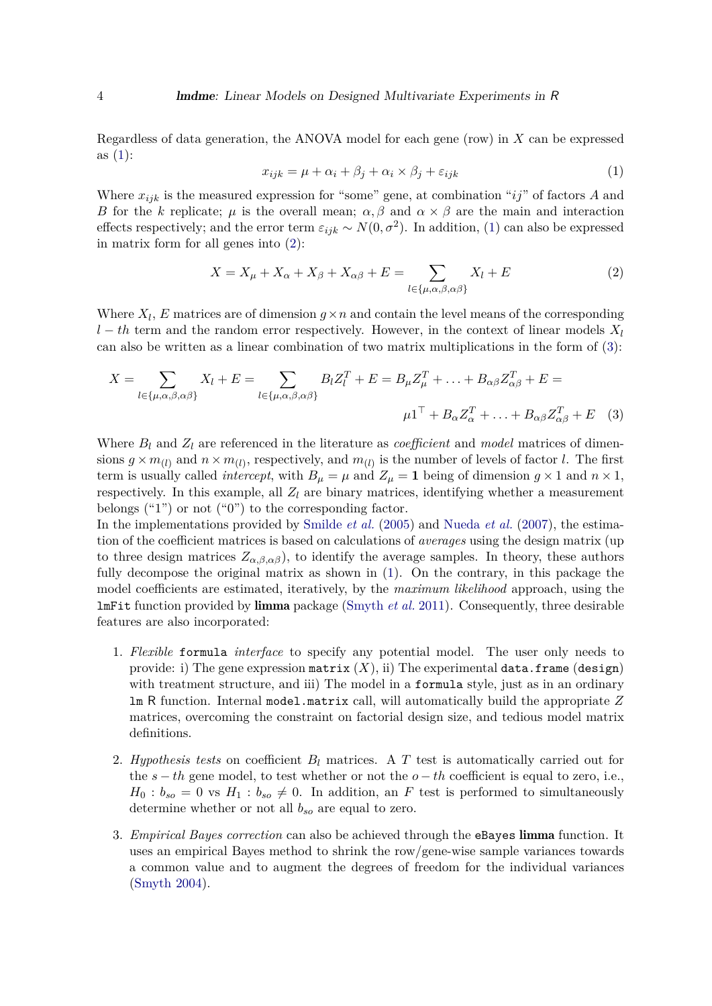<span id="page-3-0"></span>Regardless of data generation, the ANOVA model for each gene (row) in *X* can be expressed as  $(1)$ :

<span id="page-3-2"></span><span id="page-3-1"></span>
$$
x_{ijk} = \mu + \alpha_i + \beta_j + \alpha_i \times \beta_j + \varepsilon_{ijk} \tag{1}
$$

Where  $x_{ijk}$  is the measured expression for "some" gene, at combination " $ij$ " of factors *A* and *B* for the *k* replicate;  $\mu$  is the overall mean;  $\alpha, \beta$  and  $\alpha \times \beta$  are the main and interaction effects respectively; and the error term  $\varepsilon_{ijk} \sim N(0, \sigma^2)$ . In addition, [\(1\)](#page-3-0) can also be expressed in matrix form for all genes into [\(2\)](#page-3-1):

$$
X = X_{\mu} + X_{\alpha} + X_{\beta} + X_{\alpha\beta} + E = \sum_{l \in \{\mu, \alpha, \beta, \alpha\beta\}} X_l + E \tag{2}
$$

Where  $X_l$ ,  $E$  matrices are of dimension  $g \times n$  and contain the level means of the corresponding *l* − *th* term and the random error respectively. However, in the context of linear models  $X_l$ can also be written as a linear combination of two matrix multiplications in the form of [\(3\)](#page-3-2):

$$
X = \sum_{l \in \{\mu,\alpha,\beta,\alpha\beta\}} X_l + E = \sum_{l \in \{\mu,\alpha,\beta,\alpha\beta\}} B_l Z_l^T + E = B_\mu Z_\mu^T + \dots + B_{\alpha\beta} Z_{\alpha\beta}^T + E =
$$
  

$$
\mu \mathbf{1}^\top + B_\alpha Z_\alpha^T + \dots + B_{\alpha\beta} Z_{\alpha\beta}^T + E \tag{3}
$$

Where  $B_l$  and  $Z_l$  are referenced in the literature as *coefficient* and *model* matrices of dimensions  $g \times m_{(l)}$  and  $n \times m_{(l)}$ , respectively, and  $m_{(l)}$  is the number of levels of factor *l*. The first term is usually called *intercept*, with  $B_\mu = \mu$  and  $Z_\mu = 1$  being of dimension  $g \times 1$  and  $n \times 1$ , respectively. In this example, all  $Z_l$  are binary matrices, identifying whether a measurement belongs  $(41")$  or not  $(40")$  to the corresponding factor.

In the implementations provided by [Smilde](#page-11-1) *et al.* [\(2005\)](#page-11-1) and [Nueda](#page-11-2) *et al.* [\(2007\)](#page-11-2), the estimation of the coefficient matrices is based on calculations of *averages* using the design matrix (up to three design matrices  $Z_{\alpha,\beta,\alpha\beta}$ , to identify the average samples. In theory, these authors fully decompose the original matrix as shown in [\(1\)](#page-3-0). On the contrary, in this package the model coefficients are estimated, iteratively, by the *maximum likelihood* approach, using the lmFit function provided by limma package [\(Smyth](#page-11-5) *et al.* [2011\)](#page-11-5). Consequently, three desirable features are also incorporated:

- 1. *Flexible* formula *interface* to specify any potential model. The user only needs to provide: i) The gene expression matrix  $(X)$ , ii) The experimental data.frame (design) with treatment structure, and iii) The model in a formula style, just as in an ordinary lm R function. Internal model.matrix call, will automatically build the appropriate *Z* matrices, overcoming the constraint on factorial design size, and tedious model matrix definitions.
- 2. *Hypothesis tests* on coefficient *B<sup>l</sup>* matrices. A *T* test is automatically carried out for the  $s - th$  gene model, to test whether or not the  $o - th$  coefficient is equal to zero, i.e.,  $H_0: b_{so} = 0$  vs  $H_1: b_{so} \neq 0$ . In addition, an *F* test is performed to simultaneously determine whether or not all *bso* are equal to zero.
- 3. *Empirical Bayes correction* can also be achieved through the eBayes limma function. It uses an empirical Bayes method to shrink the row/gene-wise sample variances towards a common value and to augment the degrees of freedom for the individual variances [\(Smyth](#page-11-4) [2004\)](#page-11-4).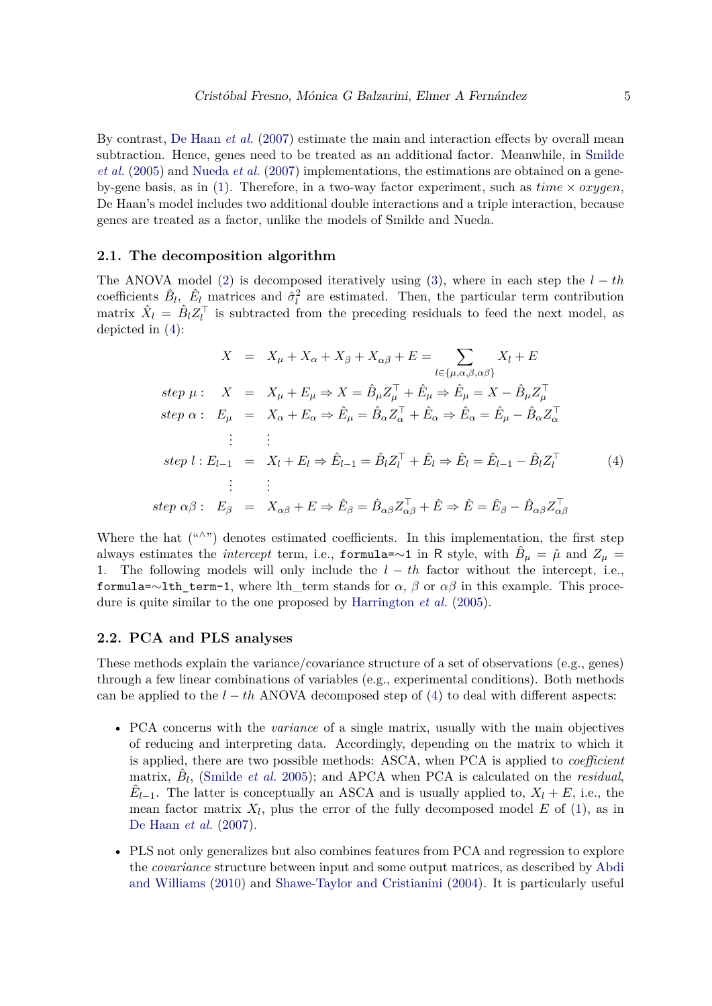By contrast, [De Haan](#page-10-4) *et al.* [\(2007\)](#page-10-4) estimate the main and interaction effects by overall mean subtraction. Hence, genes need to be treated as an additional factor. Meanwhile, in [Smilde](#page-11-1) *[et al.](#page-11-1)* [\(2005\)](#page-11-1) and [Nueda](#page-11-2) *et al.* [\(2007\)](#page-11-2) implementations, the estimations are obtained on a gene-by-gene basis, as in [\(1\)](#page-3-0). Therefore, in a two-way factor experiment, such as  $time \times oxygen$ , De Haan's model includes two additional double interactions and a triple interaction, because genes are treated as a factor, unlike the models of Smilde and Nueda.

#### <span id="page-4-1"></span>**2.1. The decomposition algorithm**

The ANOVA model [\(2\)](#page-3-1) is decomposed iteratively using [\(3\)](#page-3-2), where in each step the  $l - th$ coefficients  $\hat{B}_l$ ,  $\hat{E}_l$  matrices and  $\hat{\sigma}_l^2$  are estimated. Then, the particular term contribution matrix  $\hat{X}_l = \hat{B}_l Z_l^{\top}$  is subtracted from the preceding residuals to feed the next model, as depicted in [\(4\)](#page-4-0):

<span id="page-4-0"></span>
$$
X = X_{\mu} + X_{\alpha} + X_{\beta} + X_{\alpha\beta} + E = \sum_{l \in \{\mu, \alpha, \beta, \alpha\beta\}} X_{l} + E
$$
  
\n
$$
step \ \mu : \quad X = X_{\mu} + E_{\mu} \Rightarrow X = \hat{B}_{\mu} Z_{\mu}^{\top} + \hat{E}_{\mu} \Rightarrow \hat{E}_{\mu} = X - \hat{B}_{\mu} Z_{\mu}^{\top}
$$
  
\n
$$
step \ \alpha : \quad E_{\mu} = X_{\alpha} + E_{\alpha} \Rightarrow \hat{E}_{\mu} = \hat{B}_{\alpha} Z_{\alpha}^{\top} + \hat{E}_{\alpha} \Rightarrow \hat{E}_{\alpha} = \hat{E}_{\mu} - \hat{B}_{\alpha} Z_{\alpha}^{\top}
$$
  
\n
$$
\vdots \qquad \vdots
$$
  
\n
$$
step \ l : E_{l-1} = X_{l} + E_{l} \Rightarrow \hat{E}_{l-1} = \hat{B}_{l} Z_{l}^{\top} + \hat{E}_{l} \Rightarrow \hat{E}_{l} = \hat{E}_{l-1} - \hat{B}_{l} Z_{l}^{\top} \tag{4}
$$
  
\n
$$
\vdots \qquad \vdots
$$
  
\n
$$
step \ \alpha\beta : \quad E_{\beta} = X_{\alpha\beta} + E \Rightarrow \hat{E}_{\beta} = \hat{B}_{\alpha\beta} Z_{\alpha\beta}^{\top} + \hat{E} \Rightarrow \hat{E} = \hat{E}_{\beta} - \hat{B}_{\alpha\beta} Z_{\alpha\beta}^{\top}
$$

Where the hat ("∧") denotes estimated coefficients. In this implementation, the first step always estimates the *intercept* term, i.e., formula=∼1 in R style, with  $\hat{B}_{\mu} = \hat{\mu}$  and  $Z_{\mu} =$ 1. The following models will only include the *l* − *th* factor without the intercept, i.e., formula=∼lth term-1, where lth term stands for  $\alpha$ ,  $\beta$  or  $\alpha\beta$  in this example. This procedure is quite similar to the one proposed by [Harrington](#page-10-5) *et al.* [\(2005\)](#page-10-5).

#### **2.2. PCA and PLS analyses**

These methods explain the variance/covariance structure of a set of observations (e.g., genes) through a few linear combinations of variables (e.g., experimental conditions). Both methods can be applied to the *l* − *th* ANOVA decomposed step of [\(4\)](#page-4-0) to deal with different aspects:

- PCA concerns with the *variance* of a single matrix, usually with the main objectives of reducing and interpreting data. Accordingly, depending on the matrix to which it is applied, there are two possible methods: ASCA, when PCA is applied to *coefficient* matrix,  $\hat{B}_l$ , [\(Smilde](#page-11-1) *et al.* [2005\)](#page-11-1); and APCA when PCA is calculated on the *residual*,  $\hat{E}_{l-1}$ . The latter is conceptually an ASCA and is usually applied to,  $X_l + E$ , i.e., the mean factor matrix  $X_l$ , plus the error of the fully decomposed model  $E$  of [\(1\)](#page-3-0), as in [De Haan](#page-10-4) *et al.* [\(2007\)](#page-10-4).
- PLS not only generalizes but also combines features from PCA and regression to explore the *covariance* structure between input and some output matrices, as described by [Abdi](#page-10-6) [and Williams](#page-10-6) [\(2010\)](#page-10-6) and [Shawe-Taylor and Cristianini](#page-11-6) [\(2004\)](#page-11-6). It is particularly useful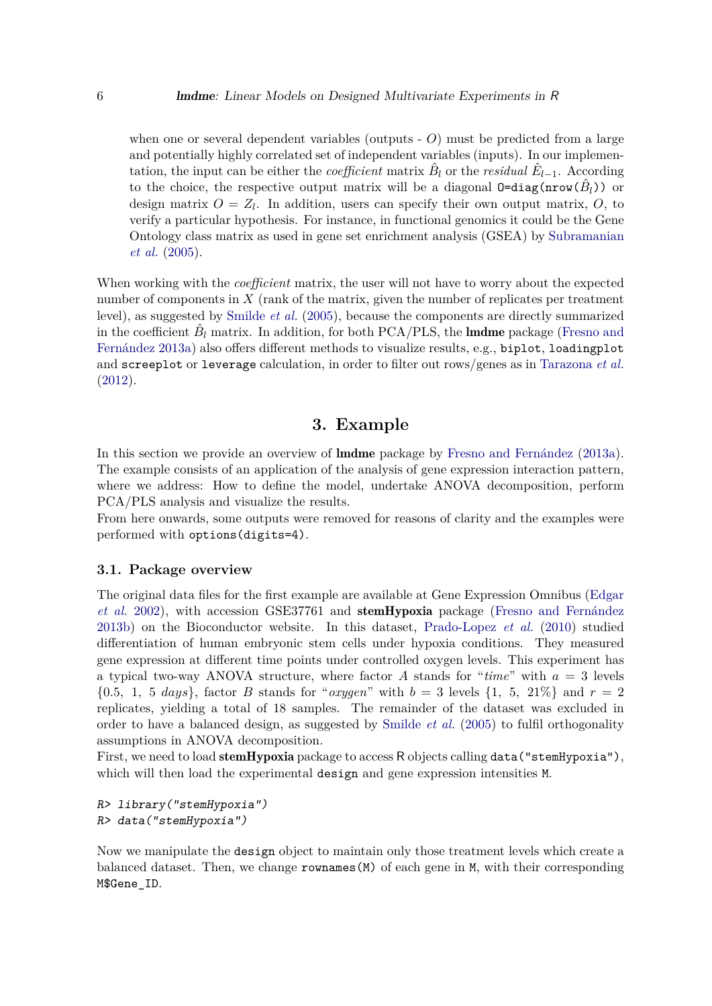when one or several dependent variables (outputs - O) must be predicted from a large and potentially highly correlated set of independent variables (inputs). In our implementation, the input can be either the *coefficient* matrix  $\hat{B}_l$  or the *residual*  $\hat{E}_{l-1}$ . According to the choice, the respective output matrix will be a diagonal  $0 = diag(nrow(\hat{B}_l))$  or design matrix  $O = Z_l$ . In addition, users can specify their own output matrix,  $O$ , to verify a particular hypothesis. For instance, in functional genomics it could be the Gene Ontology class matrix as used in gene set enrichment analysis (GSEA) by [Subramanian](#page-11-7) *[et al.](#page-11-7)* [\(2005\)](#page-11-7).

When working with the *coefficient* matrix, the user will not have to worry about the expected number of components in  $X$  (rank of the matrix, given the number of replicates per treatment level), as suggested by [Smilde](#page-11-1) *et al.* [\(2005\)](#page-11-1), because the components are directly summarized in the coefficient  $\hat{B}_l$  matrix. In addition, for both PCA/PLS, the **lmdme** package [\(Fresno and](#page-10-1) [Fernández](#page-10-1) [2013a\)](#page-10-1) also offers different methods to visualize results, e.g., biplot, loadingplot and screeplot or leverage calculation, in order to filter out rows/genes as in [Tarazona](#page-11-8) *et al.* [\(2012\)](#page-11-8).

## **3. Example**

In this section we provide an overview of lmdme package by [Fresno and Fernández](#page-10-1) [\(2013a\)](#page-10-1). The example consists of an application of the analysis of gene expression interaction pattern, where we address: How to define the model, undertake ANOVA decomposition, perform PCA/PLS analysis and visualize the results.

From here onwards, some outputs were removed for reasons of clarity and the examples were performed with options(digits=4).

#### **3.1. Package overview**

The original data files for the first example are available at Gene Expression Omnibus [\(Edgar](#page-10-7) *[et al.](#page-10-7)* [2002\)](#page-10-7), with accession GSE37761 and stemHypoxia package [\(Fresno and Fernández](#page-10-8) [2013b\)](#page-10-8) on the Bioconductor website. In this dataset, [Prado-Lopez](#page-11-9) *et al.* [\(2010\)](#page-11-9) studied differentiation of human embryonic stem cells under hypoxia conditions. They measured gene expression at different time points under controlled oxygen levels. This experiment has a typical two-way ANOVA structure, where factor *A* stands for "*time*" with *a* = 3 levels  $\{0.5, 1, 5 \text{ days}\}\$ , factor *B* stands for "*oxygen*" with  $b = 3$  levels  $\{1, 5, 21\% \}$  and  $r = 2$ replicates, yielding a total of 18 samples. The remainder of the dataset was excluded in order to have a balanced design, as suggested by [Smilde](#page-11-1) *et al.* [\(2005\)](#page-11-1) to fulfil orthogonality assumptions in ANOVA decomposition.

First, we need to load stemHypoxia package to access R objects calling data("stemHypoxia"), which will then load the experimental design and gene expression intensities M.

R> library("stemHypoxia") R> data("stemHypoxia")

Now we manipulate the design object to maintain only those treatment levels which create a balanced dataset. Then, we change rownames(M) of each gene in M, with their corresponding M\$Gene\_ID.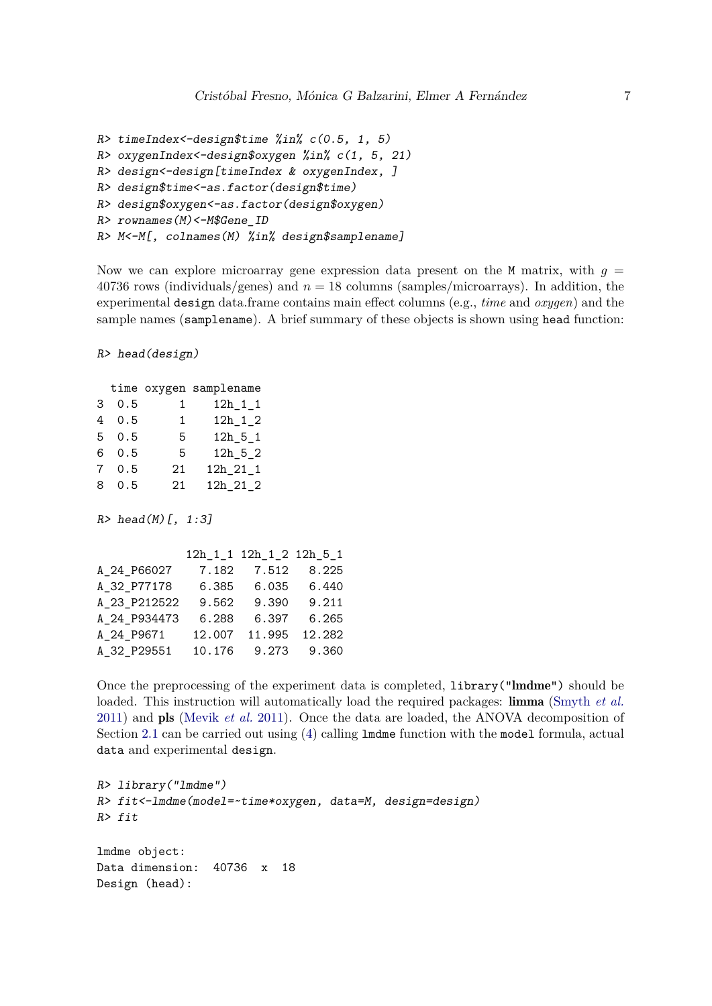```
R> timeIndex<-design$time %in% c(0.5, 1, 5)
R> oxygenIndex<-design$oxygen %in% c(1, 5, 21)
R> design<-design[timeIndex & oxygenIndex, ]
R> design$time<-as.factor(design$time)
R> design$oxygen<-as.factor(design$oxygen)
R> rownames(M)<-M$Gene_ID
R> M<-M[, colnames(M) %in% design$samplename]
```
Now we can explore microarray gene expression data present on the  $M$  matrix, with  $g =$ 40736 rows (individuals/genes) and *n* = 18 columns (samples/microarrays). In addition, the experimental design data.frame contains main effect columns (e.g., *time* and *oxygen*) and the sample names (samplename). A brief summary of these objects is shown using head function:

R> head(design)

|                |      |              | time oxygen samplename |
|----------------|------|--------------|------------------------|
|                | 30.5 | 1            | $12h_1_1_1$            |
|                | 40.5 | $\mathbf{1}$ | $12h_1_2$              |
|                | 50.5 | 5            | $12h$ $5$ $1$          |
|                | 60.5 | 5            | $12h$ 5 $2$            |
| $7\phantom{.}$ | 0.5  | 21           | $12h_21_1$             |
| 8              | 0.5  | 21           | $12h_21_2$             |

 $R >$  head(M)[, 1:3]

|              |        | 12h 1 1 12h 1 2 12h 5 1 |        |
|--------------|--------|-------------------------|--------|
| A_24_P66027  | 7.182  | 7.512                   | 8.225  |
| A 32 P77178  | 6.385  | 6.035                   | 6.440  |
| A_23_P212522 | 9.562  | 9.390                   | 9.211  |
| A_24_P934473 | 6.288  | 6.397                   | 6.265  |
| A_24_P9671   | 12.007 | 11.995                  | 12.282 |
| A_32_P29551  |        | 10.176 9.273            | 9.360  |

Once the preprocessing of the experiment data is completed, library("lmdme") should be loaded. This instruction will automatically load the required packages: limma [\(Smyth](#page-11-5) *et al.* [2011\)](#page-11-5) and pls [\(Mevik](#page-10-9) *et al.* [2011\)](#page-10-9). Once the data are loaded, the ANOVA decomposition of Section [2.1](#page-4-1) can be carried out using [\(4\)](#page-4-0) calling lmdme function with the model formula, actual data and experimental design.

```
R> library("lmdme")
R> fit<-lmdme(model=~time*oxygen, data=M, design=design)
R> fit
lmdme object:
Data dimension: 40736 x 18
Design (head):
```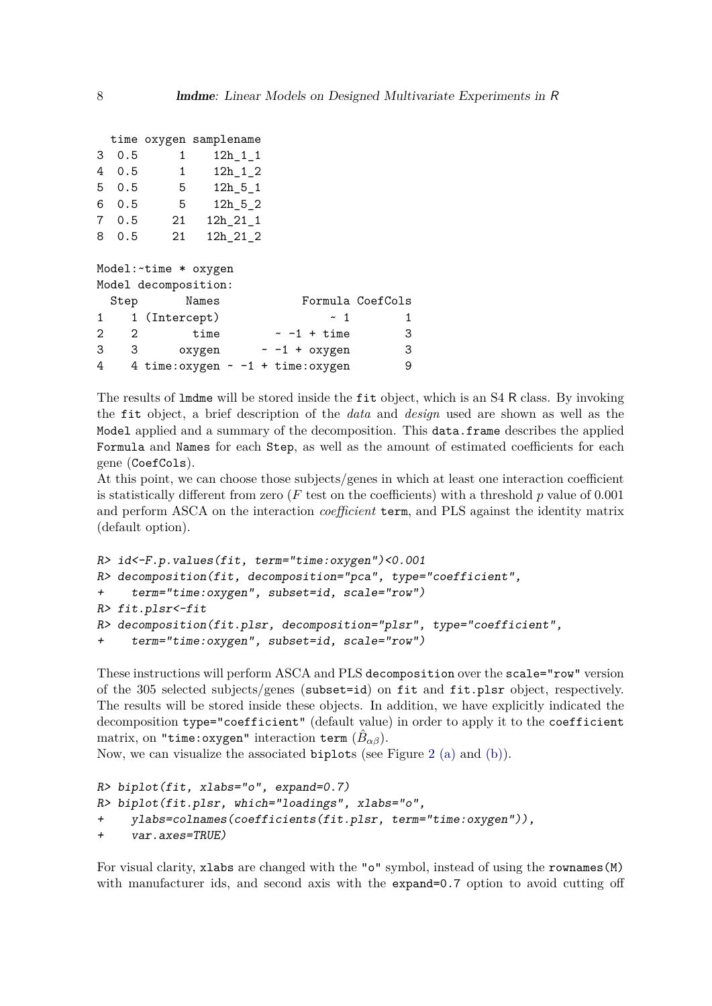|    |     |              | time oxygen samplename |  |
|----|-----|--------------|------------------------|--|
| 3  | 0.5 | $\mathbf{1}$ | $12h_1_1_1$            |  |
| 4  | 0.5 | $\mathbf{1}$ | $12h$ 1 $2$            |  |
| 5  | 0.5 | 5            | $12h - 5 - 1$          |  |
| 6. | 0.5 | 5            | $12h$ 5 $2$            |  |
| 7  | 0.5 | 21           | 12h_21_1               |  |
| 8. | 0.5 | 21           | 12h 21 2               |  |
|    |     |              |                        |  |

|                |                       | Model: ~ time * oxygen                  |  |                  |                  |
|----------------|-----------------------|-----------------------------------------|--|------------------|------------------|
|                |                       | Model decomposition:                    |  |                  |                  |
|                | Step                  | Names                                   |  |                  | Formula CoefCols |
|                |                       | 1 1 (Intercept)                         |  | $~\sim~$ 1       | 1.               |
| $\mathfrak{D}$ | $\mathcal{D}_{\cdot}$ | time                                    |  | $\sim$ -1 + time | 3                |
| 3              | 3                     | oxygen                                  |  | $~-1$ + oxygen   | 3                |
| 4              |                       | 4 time: oxygen $\sim$ -1 + time: oxygen |  |                  | 9                |

The results of lmdme will be stored inside the fit object, which is an S4 R class. By invoking the fit object, a brief description of the *data* and *design* used are shown as well as the Model applied and a summary of the decomposition. This data.frame describes the applied Formula and Names for each Step, as well as the amount of estimated coefficients for each gene (CoefCols).

At this point, we can choose those subjects/genes in which at least one interaction coefficient is statistically different from zero (*F* test on the coefficients) with a threshold *p* value of 0.001 and perform ASCA on the interaction *coefficient* term, and PLS against the identity matrix (default option).

```
R> id<-F.p.values(fit, term="time:oxygen")<0.001
R> decomposition(fit, decomposition="pca", type="coefficient",
+ term="time:oxygen", subset=id, scale="row")
R> fit.plsr<-fit
R> decomposition(fit.plsr, decomposition="plsr", type="coefficient",
     + term="time:oxygen", subset=id, scale="row")
```

```
These instructions will perform ASCA and PLS decomposition over the scale="row" version
of the 305 selected subjects/genes (subset=id) on fit and fit.plsr object, respectively.
The results will be stored inside these objects. In addition, we have explicitly indicated the
decomposition type="coefficient" (default value) in order to apply it to the coefficient
matrix, on "time:oxygen" interaction term (\hat{B}_{\alpha\beta}).
```
Now, we can visualize the associated biplots (see Figure [2](#page-8-0) [\(a\)](#page-8-1) and [\(b\)\)](#page-8-2).

```
R> biplot(fit, xlabs="o", expand=0.7)
R> biplot(fit.plsr, which="loadings", xlabs="o",
+ ylabs=colnames(coefficients(fit.plsr, term="time:oxygen")),
+ var.axes=TRUE)
```
For visual clarity, xlabs are changed with the "o" symbol, instead of using the rownames(M) with manufacturer ids, and second axis with the expand=0.7 option to avoid cutting off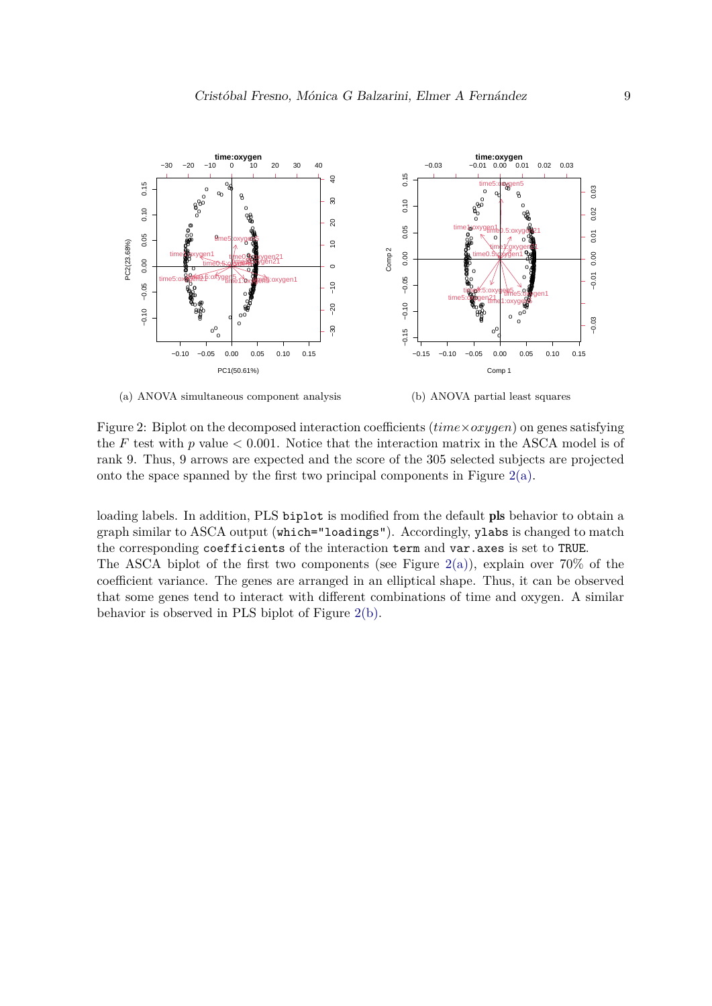<span id="page-8-1"></span>

<span id="page-8-0"></span>(a) ANOVA simultaneous component analysis

<span id="page-8-2"></span>(b) ANOVA partial least squares

Figure 2: Biplot on the decomposed interaction coefficients (*time*×*oxygen*) on genes satisfying the  $F$  test with  $p$  value  $\lt 0.001$ . Notice that the interaction matrix in the ASCA model is of rank 9. Thus, 9 arrows are expected and the score of the 305 selected subjects are projected onto the space spanned by the first two principal components in Figure  $2(a)$ .

loading labels. In addition, PLS biplot is modified from the default pls behavior to obtain a graph similar to ASCA output (which="loadings"). Accordingly, ylabs is changed to match the corresponding coefficients of the interaction term and var.axes is set to TRUE. The ASCA biplot of the first two components (see Figure [2\(a\)\)](#page-8-1), explain over  $70\%$  of the coefficient variance. The genes are arranged in an elliptical shape. Thus, it can be observed that some genes tend to interact with different combinations of time and oxygen. A similar behavior is observed in PLS biplot of Figure [2\(b\).](#page-8-2)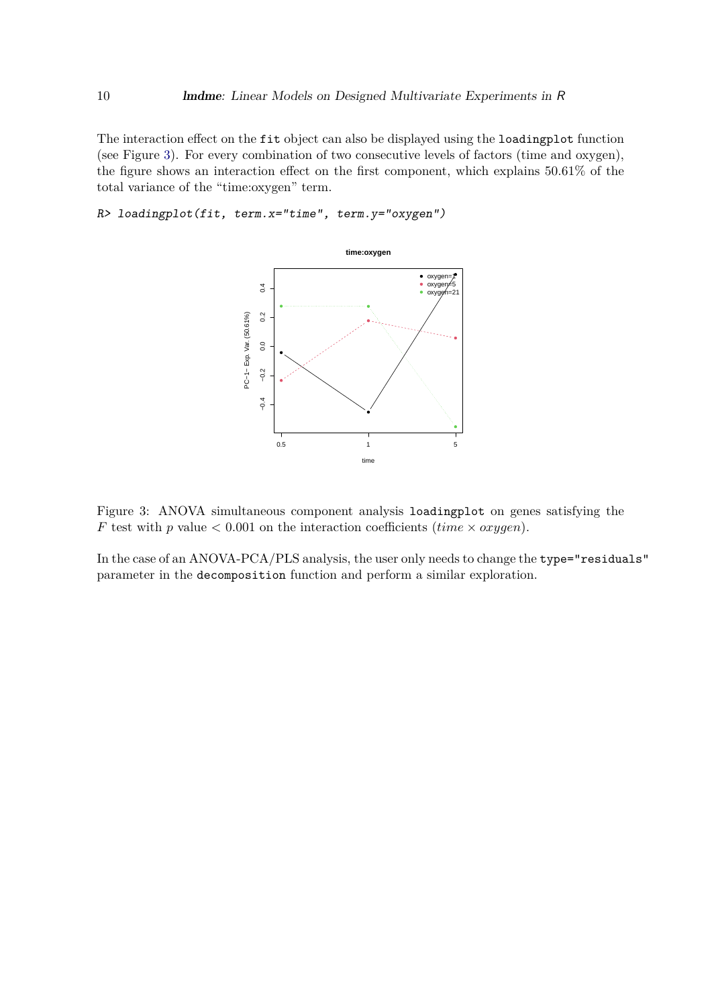The interaction effect on the fit object can also be displayed using the loadingplot function (see Figure [3\)](#page-9-0). For every combination of two consecutive levels of factors (time and oxygen), the figure shows an interaction effect on the first component, which explains 50.61% of the total variance of the "time:oxygen" term.

R> loadingplot(fit, term.x="time", term.y="oxygen")



<span id="page-9-0"></span>Figure 3: ANOVA simultaneous component analysis loadingplot on genes satisfying the *F* test with *p* value < 0.001 on the interaction coefficients (*time* × *oxygen*).

In the case of an ANOVA-PCA/PLS analysis, the user only needs to change the type="residuals" parameter in the decomposition function and perform a similar exploration.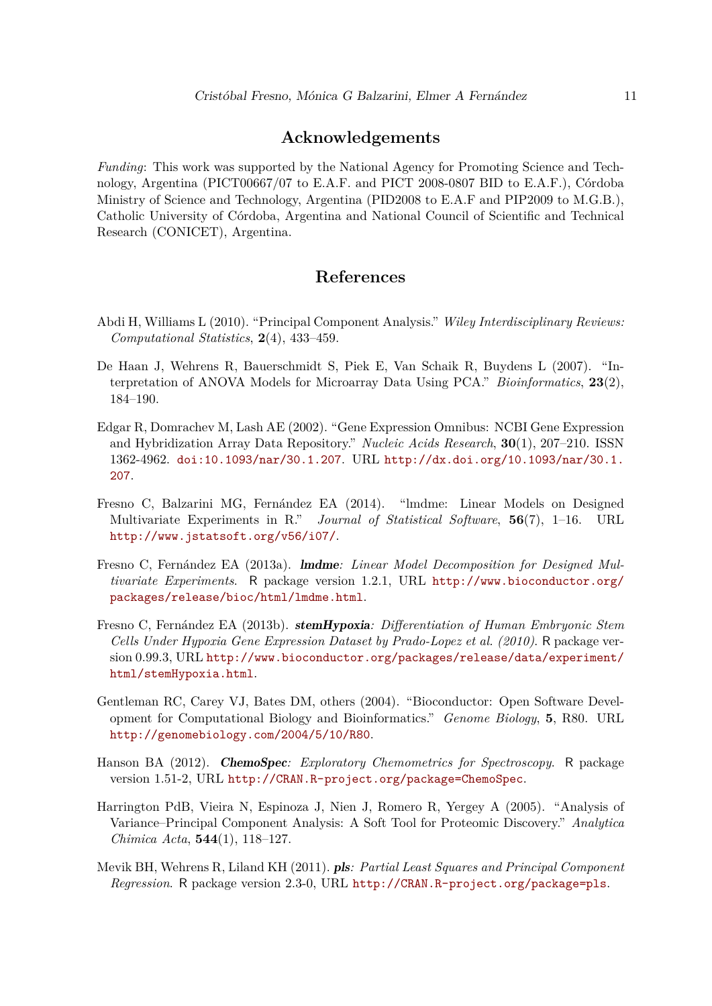### **Acknowledgements**

*Funding*: This work was supported by the National Agency for Promoting Science and Technology, Argentina (PICT00667/07 to E.A.F. and PICT 2008-0807 BID to E.A.F.), Córdoba Ministry of Science and Technology, Argentina (PID2008 to E.A.F and PIP2009 to M.G.B.), Catholic University of Córdoba, Argentina and National Council of Scientific and Technical Research (CONICET), Argentina.

## **References**

- <span id="page-10-6"></span>Abdi H, Williams L (2010). "Principal Component Analysis." *Wiley Interdisciplinary Reviews: Computational Statistics*, **2**(4), 433–459.
- <span id="page-10-4"></span>De Haan J, Wehrens R, Bauerschmidt S, Piek E, Van Schaik R, Buydens L (2007). "Interpretation of ANOVA Models for Microarray Data Using PCA." *Bioinformatics*, **23**(2), 184–190.
- <span id="page-10-7"></span>Edgar R, Domrachev M, Lash AE (2002). "Gene Expression Omnibus: NCBI Gene Expression and Hybridization Array Data Repository." *Nucleic Acids Research*, **30**(1), 207–210. ISSN 1362-4962. [doi:10.1093/nar/30.1.207](https://doi.org/10.1093/nar/30.1.207). URL [http://dx.doi.org/10.1093/nar/30.1.](http://dx.doi.org/10.1093/nar/30.1.207) [207](http://dx.doi.org/10.1093/nar/30.1.207).
- <span id="page-10-0"></span>Fresno C, Balzarini MG, Fernández EA (2014). "lmdme: Linear Models on Designed Multivariate Experiments in R." *Journal of Statistical Software*, **56**(7), 1–16. URL <http://www.jstatsoft.org/v56/i07/>.
- <span id="page-10-1"></span>Fresno C, Fernández EA (2013a). lmdme*: Linear Model Decomposition for Designed Multivariate Experiments*. R package version 1.2.1, URL [http://www.bioconductor.org/](http://www.bioconductor.org/packages/release/bioc/html/lmdme.html) [packages/release/bioc/html/lmdme.html](http://www.bioconductor.org/packages/release/bioc/html/lmdme.html).
- <span id="page-10-8"></span>Fresno C, Fernández EA (2013b). stemHypoxia*: Differentiation of Human Embryonic Stem Cells Under Hypoxia Gene Expression Dataset by Prado-Lopez et al. (2010)*. R package version 0.99.3, URL [http://www.bioconductor.org/packages/release/data/experiment/](http://www.bioconductor.org/packages/release/data/experiment/html/stemHypoxia.html) [html/stemHypoxia.html](http://www.bioconductor.org/packages/release/data/experiment/html/stemHypoxia.html).
- <span id="page-10-2"></span>Gentleman RC, Carey VJ, Bates DM, others (2004). "Bioconductor: Open Software Development for Computational Biology and Bioinformatics." *Genome Biology*, **5**, R80. URL <http://genomebiology.com/2004/5/10/R80>.
- <span id="page-10-3"></span>Hanson BA (2012). ChemoSpec*: Exploratory Chemometrics for Spectroscopy*. R package version 1.51-2, URL <http://CRAN.R-project.org/package=ChemoSpec>.
- <span id="page-10-5"></span>Harrington PdB, Vieira N, Espinoza J, Nien J, Romero R, Yergey A (2005). "Analysis of Variance–Principal Component Analysis: A Soft Tool for Proteomic Discovery." *Analytica Chimica Acta*, **544**(1), 118–127.
- <span id="page-10-9"></span>Mevik BH, Wehrens R, Liland KH (2011). pls*: Partial Least Squares and Principal Component Regression*. R package version 2.3-0, URL <http://CRAN.R-project.org/package=pls>.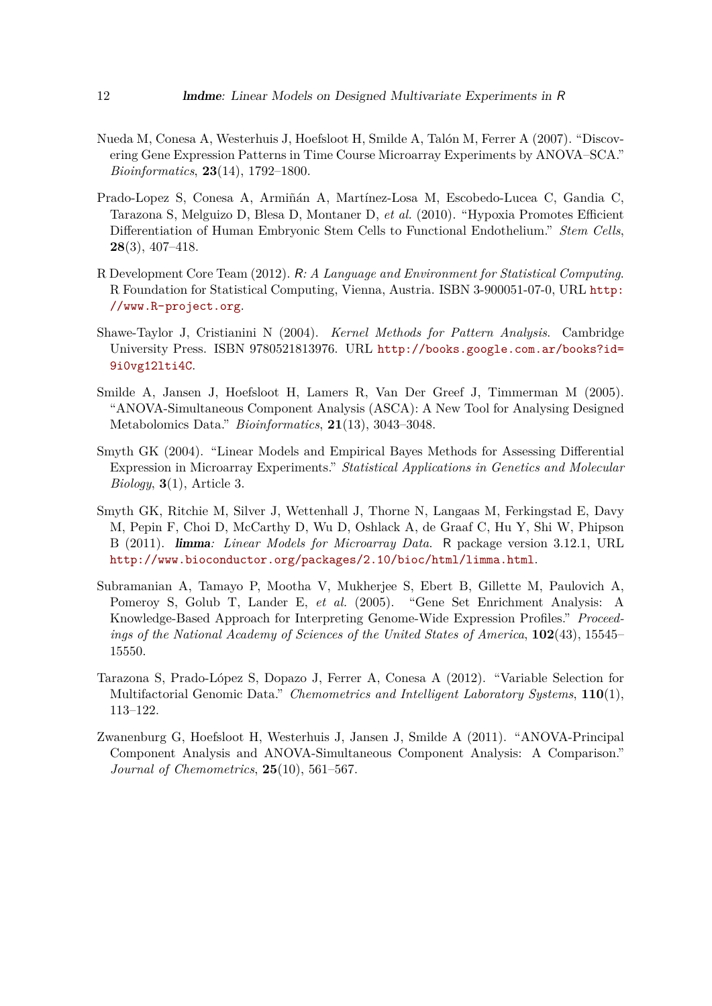- <span id="page-11-2"></span>Nueda M, Conesa A, Westerhuis J, Hoefsloot H, Smilde A, Talón M, Ferrer A (2007). "Discovering Gene Expression Patterns in Time Course Microarray Experiments by ANOVA–SCA." *Bioinformatics*, **23**(14), 1792–1800.
- <span id="page-11-9"></span>Prado-Lopez S, Conesa A, Armiñán A, Martínez-Losa M, Escobedo-Lucea C, Gandia C, Tarazona S, Melguizo D, Blesa D, Montaner D, *et al.* (2010). "Hypoxia Promotes Efficient Differentiation of Human Embryonic Stem Cells to Functional Endothelium." *Stem Cells*, **28**(3), 407–418.
- <span id="page-11-0"></span>R Development Core Team (2012). R*: A Language and Environment for Statistical Computing*. R Foundation for Statistical Computing, Vienna, Austria. ISBN 3-900051-07-0, URL [http:](http://www.R-project.org) [//www.R-project.org](http://www.R-project.org).
- <span id="page-11-6"></span>Shawe-Taylor J, Cristianini N (2004). *Kernel Methods for Pattern Analysis*. Cambridge University Press. ISBN 9780521813976. URL [http://books.google.com.ar/books?id=](http://books.google.com.ar/books?id=9i0vg12lti4C) [9i0vg12lti4C](http://books.google.com.ar/books?id=9i0vg12lti4C).
- <span id="page-11-1"></span>Smilde A, Jansen J, Hoefsloot H, Lamers R, Van Der Greef J, Timmerman M (2005). "ANOVA-Simultaneous Component Analysis (ASCA): A New Tool for Analysing Designed Metabolomics Data." *Bioinformatics*, **21**(13), 3043–3048.
- <span id="page-11-4"></span>Smyth GK (2004). "Linear Models and Empirical Bayes Methods for Assessing Differential Expression in Microarray Experiments." *Statistical Applications in Genetics and Molecular Biology*, **3**(1), Article 3.
- <span id="page-11-5"></span>Smyth GK, Ritchie M, Silver J, Wettenhall J, Thorne N, Langaas M, Ferkingstad E, Davy M, Pepin F, Choi D, McCarthy D, Wu D, Oshlack A, de Graaf C, Hu Y, Shi W, Phipson B (2011). limma*: Linear Models for Microarray Data*. R package version 3.12.1, URL <http://www.bioconductor.org/packages/2.10/bioc/html/limma.html>.
- <span id="page-11-7"></span>Subramanian A, Tamayo P, Mootha V, Mukherjee S, Ebert B, Gillette M, Paulovich A, Pomeroy S, Golub T, Lander E, *et al.* (2005). "Gene Set Enrichment Analysis: A Knowledge-Based Approach for Interpreting Genome-Wide Expression Profiles." *Proceedings of the National Academy of Sciences of the United States of America*, **102**(43), 15545– 15550.
- <span id="page-11-8"></span>Tarazona S, Prado-López S, Dopazo J, Ferrer A, Conesa A (2012). "Variable Selection for Multifactorial Genomic Data." *Chemometrics and Intelligent Laboratory Systems*, **110**(1), 113–122.
- <span id="page-11-3"></span>Zwanenburg G, Hoefsloot H, Westerhuis J, Jansen J, Smilde A (2011). "ANOVA-Principal Component Analysis and ANOVA-Simultaneous Component Analysis: A Comparison." *Journal of Chemometrics*, **25**(10), 561–567.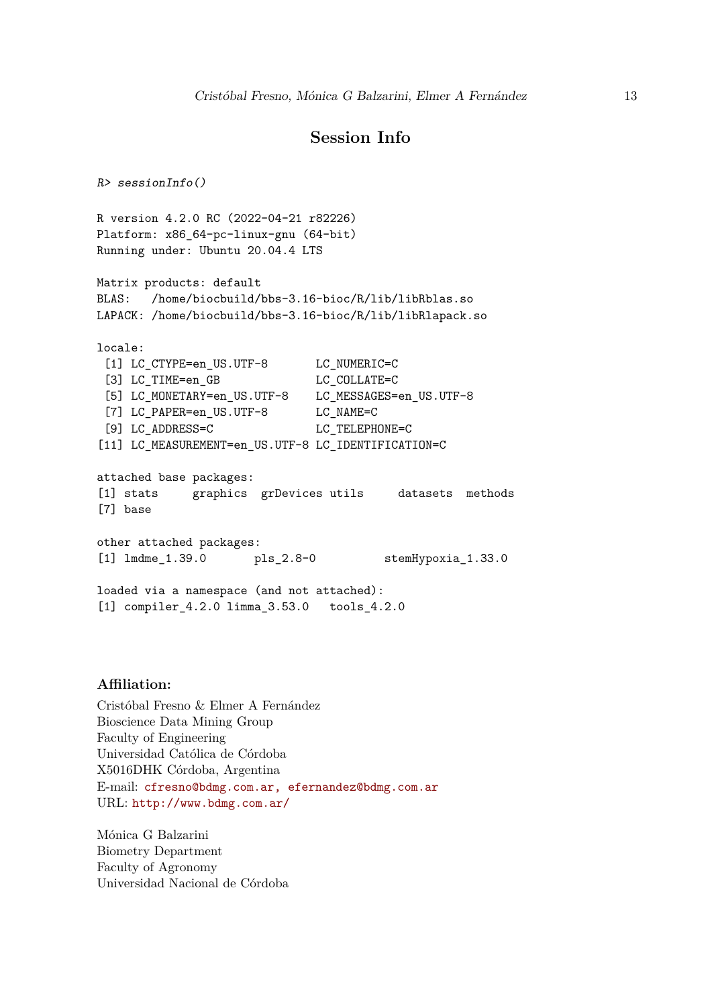## **Session Info**

 $R >$  sessionInfo() R version 4.2.0 RC (2022-04-21 r82226) Platform: x86\_64-pc-linux-gnu (64-bit) Running under: Ubuntu 20.04.4 LTS Matrix products: default BLAS: /home/biocbuild/bbs-3.16-bioc/R/lib/libRblas.so LAPACK: /home/biocbuild/bbs-3.16-bioc/R/lib/libRlapack.so locale: [1] LC\_CTYPE=en\_US.UTF-8 LC\_NUMERIC=C [3] LC\_TIME=en\_GB LC\_COLLATE=C [5] LC\_MONETARY=en\_US.UTF-8 LC\_MESSAGES=en\_US.UTF-8 [7] LC PAPER=en US.UTF-8 LC NAME=C [9] LC ADDRESS=C LC TELEPHONE=C [11] LC\_MEASUREMENT=en\_US.UTF-8 LC\_IDENTIFICATION=C attached base packages: [1] stats graphics grDevices utils datasets methods [7] base other attached packages: [1] lmdme\_1.39.0 pls\_2.8-0 stemHypoxia\_1.33.0 loaded via a namespace (and not attached): [1] compiler\_4.2.0 limma\_3.53.0 tools\_4.2.0

#### **Affiliation:**

Cristóbal Fresno & Elmer A Fernández Bioscience Data Mining Group Faculty of Engineering Universidad Católica de Córdoba X5016DHK Córdoba, Argentina E-mail: [cfresno@bdmg.com.ar, efernandez@bdmg.com.ar](mailto:cfresno@bdmg.com.ar, efernandez@bdmg.com.ar) URL: <http://www.bdmg.com.ar/>

Mónica G Balzarini Biometry Department Faculty of Agronomy Universidad Nacional de Córdoba